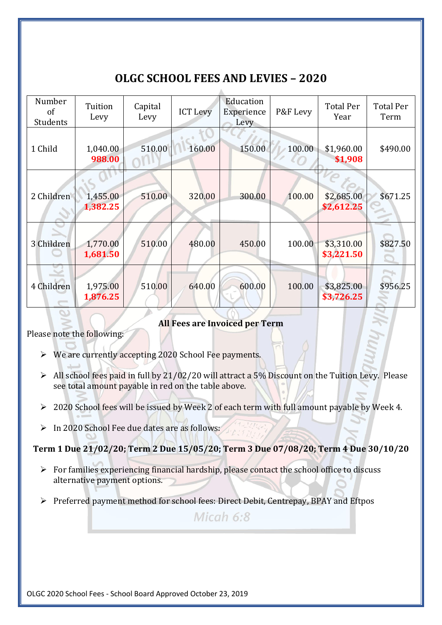## **OLGC SCHOOL FEES AND LEVIES – 2020**

| Number<br>of<br><b>Students</b> | Tuition<br>Levy      | Capital<br>Levy | <b>ICT Levy</b> | Education<br>Experience<br>Levy | P&F Levy | <b>Total Per</b><br>Year | <b>Total Per</b><br>Term |
|---------------------------------|----------------------|-----------------|-----------------|---------------------------------|----------|--------------------------|--------------------------|
| 1 Child                         | 1,040.00<br>988.00   | 510.00          | 160.00          | 150.00                          | 100.00   | \$1,960.00<br>\$1,908    | \$490.00                 |
| 2 Children                      | 1,455.00<br>1,382.25 | 510.00          | 320.00          | 300.00                          | 100.00   | \$2,685.00<br>\$2,612.25 | \$671.25                 |
| 3 Children                      | 1,770.00<br>1,681.50 | 510.00          | 480.00          | 450.00                          | 100.00   | \$3,310.00<br>\$3,221.50 | \$827.50                 |
| 4 Children                      | 1,975.00<br>1,876.25 | 510.00          | 640.00          | 600.00                          | 100.00   | \$3,825.00<br>\$3,726.25 | \$956.25                 |

## **All Fees are Invoiced per Term**

Please note the following:

- ➢ We are currently accepting 2020 School Fee payments.
- $\triangleright$  All school fees paid in full by 21/02/20 will attract a 5% Discount on the Tuition Levy. Please see total amount payable in red on the table above.
- ➢ 2020 School fees will be issued by Week 2 of each term with full amount payable by Week 4.
- ➢ In 2020 School Fee due dates are as follows:

**Term 1 Due 21/02/20; Term 2 Due 15/05/20; Term 3 Due 07/08/20; Term 4 Due 30/10/20**

- $\triangleright$  For families experiencing financial hardship, please contact the school office to discuss alternative payment options.
- ➢ Preferred payment method for school fees: Direct Debit, Centrepay, BPAY and Eftpos

Micah  $6:8$